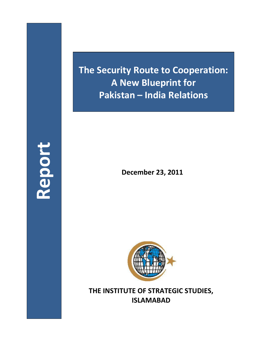**Report**

**The Security Route to Cooperation: A New Blueprint for Pakistan – India Relations**

**December 23, 2011**



**THE INSTITUTE OF STRATEGIC STUDIES, ISLAMABAD**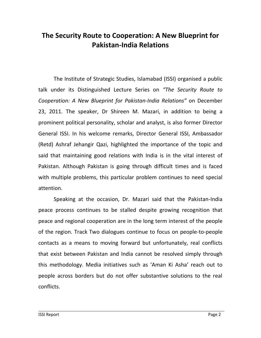## **The Security Route to Cooperation: A New Blueprint for Pakistan-India Relations**

The Institute of Strategic Studies, Islamabad (ISSI) organised a public talk under its Distinguished Lecture Series on *"The Security Route to Cooperation: A New Blueprint for Pakistan-India Relations"* on December 23, 2011. The speaker, Dr Shireen M. Mazari, in addition to being a prominent political personality, scholar and analyst, is also former Director General ISSI. In his welcome remarks, Director General ISSI, Ambassador (Retd) Ashraf Jehangir Qazi, highlighted the importance of the topic and said that maintaining good relations with India is in the vital interest of Pakistan. Although Pakistan is going through difficult times and is faced with multiple problems, this particular problem continues to need special attention.

Speaking at the occasion, Dr. Mazari said that the Pakistan-India peace process continues to be stalled despite growing recognition that peace and regional cooperation are in the long term interest of the people of the region. Track Two dialogues continue to focus on people-to-people contacts as a means to moving forward but unfortunately, real conflicts that exist between Pakistan and India cannot be resolved simply through this methodology. Media initiatives such as 'Aman Ki Asha' reach out to people across borders but do not offer substantive solutions to the real conflicts.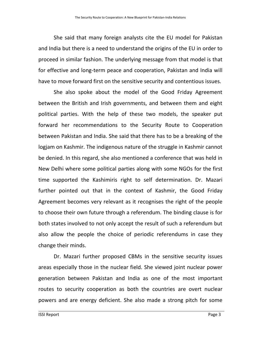She said that many foreign analysts cite the EU model for Pakistan and India but there is a need to understand the origins of the EU in order to proceed in similar fashion. The underlying message from that model is that for effective and long-term peace and cooperation, Pakistan and India will have to move forward first on the sensitive security and contentious issues.

She also spoke about the model of the Good Friday Agreement between the British and Irish governments, and between them and eight political parties. With the help of these two models, the speaker put forward her recommendations to the Security Route to Cooperation between Pakistan and India. She said that there has to be a breaking of the logjam on Kashmir. The indigenous nature of the struggle in Kashmir cannot be denied. In this regard, she also mentioned a conference that was held in New Delhi where some political parties along with some NGOs for the first time supported the Kashimiris right to self determination. Dr. Mazari further pointed out that in the context of Kashmir, the Good Friday Agreement becomes very relevant as it recognises the right of the people to choose their own future through a referendum. The binding clause is for both states involved to not only accept the result of such a referendum but also allow the people the choice of periodic referendums in case they change their minds.

Dr. Mazari further proposed CBMs in the sensitive security issues areas especially those in the nuclear field. She viewed joint nuclear power generation between Pakistan and India as one of the most important routes to security cooperation as both the countries are overt nuclear powers and are energy deficient. She also made a strong pitch for some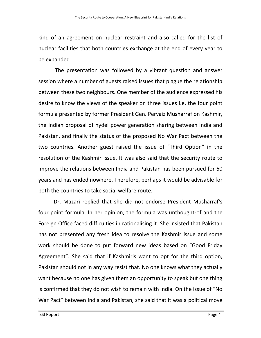kind of an agreement on nuclear restraint and also called for the list of nuclear facilities that both countries exchange at the end of every year to be expanded.

The presentation was followed by a vibrant question and answer session where a number of guests raised issues that plague the relationship between these two neighbours. One member of the audience expressed his desire to know the views of the speaker on three issues i.e. the four point formula presented by former President Gen. Pervaiz Musharraf on Kashmir, the Indian proposal of hydel power generation sharing between India and Pakistan, and finally the status of the proposed No War Pact between the two countries. Another guest raised the issue of "Third Option" in the resolution of the Kashmir issue. It was also said that the security route to improve the relations between India and Pakistan has been pursued for 60 years and has ended nowhere. Therefore, perhaps it would be advisable for both the countries to take social welfare route.

Dr. Mazari replied that she did not endorse President Musharraf's four point formula. In her opinion, the formula was unthought-of and the Foreign Office faced difficulties in rationalising it. She insisted that Pakistan has not presented any fresh idea to resolve the Kashmir issue and some work should be done to put forward new ideas based on "Good Friday Agreement". She said that if Kashmiris want to opt for the third option, Pakistan should not in any way resist that. No one knows what they actually want because no one has given them an opportunity to speak but one thing is confirmed that they do not wish to remain with India. On the issue of "No War Pact" between India and Pakistan, she said that it was a political move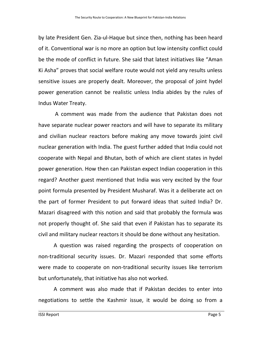by late President Gen. Zia-ul-Haque but since then, nothing has been heard of it. Conventional war is no more an option but low intensity conflict could be the mode of conflict in future. She said that latest initiatives like "Aman Ki Asha" proves that social welfare route would not yield any results unless sensitive issues are properly dealt. Moreover, the proposal of joint hydel power generation cannot be realistic unless India abides by the rules of Indus Water Treaty.

A comment was made from the audience that Pakistan does not have separate nuclear power reactors and will have to separate its military and civilian nuclear reactors before making any move towards joint civil nuclear generation with India. The guest further added that India could not cooperate with Nepal and Bhutan, both of which are client states in hydel power generation. How then can Pakistan expect Indian cooperation in this regard? Another guest mentioned that India was very excited by the four point formula presented by President Musharaf. Was it a deliberate act on the part of former President to put forward ideas that suited India? Dr. Mazari disagreed with this notion and said that probably the formula was not properly thought of. She said that even if Pakistan has to separate its civil and military nuclear reactors it should be done without any hesitation.

A question was raised regarding the prospects of cooperation on non-traditional security issues. Dr. Mazari responded that some efforts were made to cooperate on non-traditional security issues like terrorism but unfortunately, that initiative has also not worked.

A comment was also made that if Pakistan decides to enter into negotiations to settle the Kashmir issue, it would be doing so from a